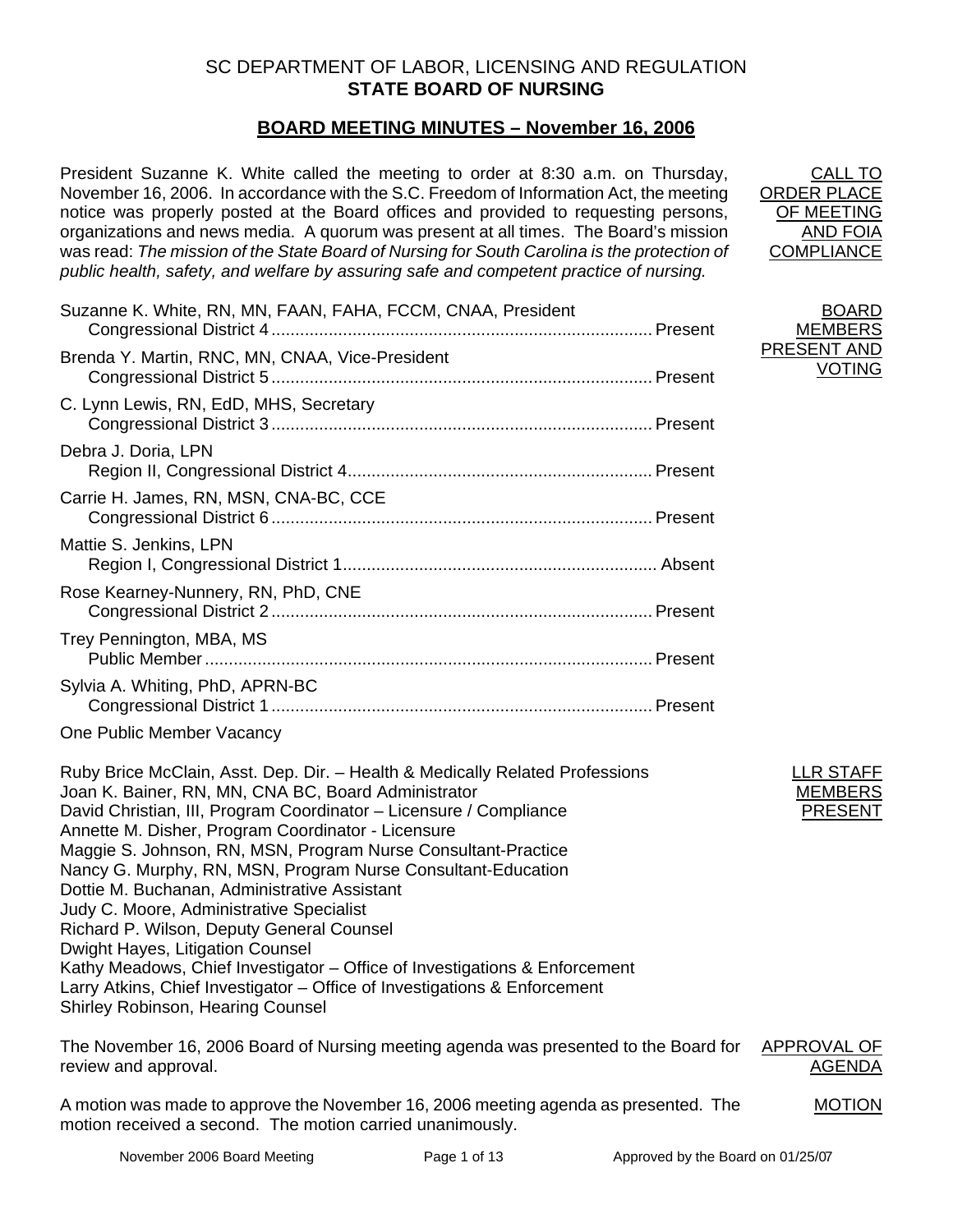## SC DEPARTMENT OF LABOR, LICENSING AND REGULATION **STATE BOARD OF NURSING**

## **BOARD MEETING MINUTES – November 16, 2006**

President Suzanne K. White called the meeting to order at 8:30 a.m. on Thursday, November 16, 2006. In accordance with the S.C. Freedom of Information Act, the meeting notice was properly posted at the Board offices and provided to requesting persons, organizations and news media. A quorum was present at all times. The Board's mission was read: *The mission of the State Board of Nursing for South Carolina is the protection of public health, safety, and welfare by assuring safe and competent practice of nursing.*

| Suzanne K. White, RN, MN, FAAN, FAHA, FCCM, CNAA, President |  |
|-------------------------------------------------------------|--|
| Brenda Y. Martin, RNC, MN, CNAA, Vice-President             |  |
| C. Lynn Lewis, RN, EdD, MHS, Secretary                      |  |
| Debra J. Doria, LPN                                         |  |
| Carrie H. James, RN, MSN, CNA-BC, CCE                       |  |
| Mattie S. Jenkins, LPN                                      |  |
| Rose Kearney-Nunnery, RN, PhD, CNE                          |  |
| Trey Pennington, MBA, MS                                    |  |
| Sylvia A. Whiting, PhD, APRN-BC                             |  |

One Public Member Vacancy

Ruby Brice McClain, Asst. Dep. Dir. – Health & Medically Related Professions Joan K. Bainer, RN, MN, CNA BC, Board Administrator David Christian, III, Program Coordinator – Licensure / Compliance Annette M. Disher, Program Coordinator - Licensure Maggie S. Johnson, RN, MSN, Program Nurse Consultant-Practice Nancy G. Murphy, RN, MSN, Program Nurse Consultant-Education Dottie M. Buchanan, Administrative Assistant Judy C. Moore, Administrative Specialist Richard P. Wilson, Deputy General Counsel Dwight Hayes, Litigation Counsel Kathy Meadows, Chief Investigator – Office of Investigations & Enforcement Larry Atkins, Chief Investigator – Office of Investigations & Enforcement Shirley Robinson, Hearing Counsel

The November 16, 2006 Board of Nursing meeting agenda was presented to the Board for review and approval. APPROVAL OF AGENDA

A motion was made to approve the November 16, 2006 meeting agenda as presented. The motion received a second. The motion carried unanimously.

LLR STAFF MEMBERS PRESENT

CALL TO ORDER PLACE OF MEETING AND FOIA **COMPLIANCE** 

BOARD MEMBERS PRESENT AND

VOTING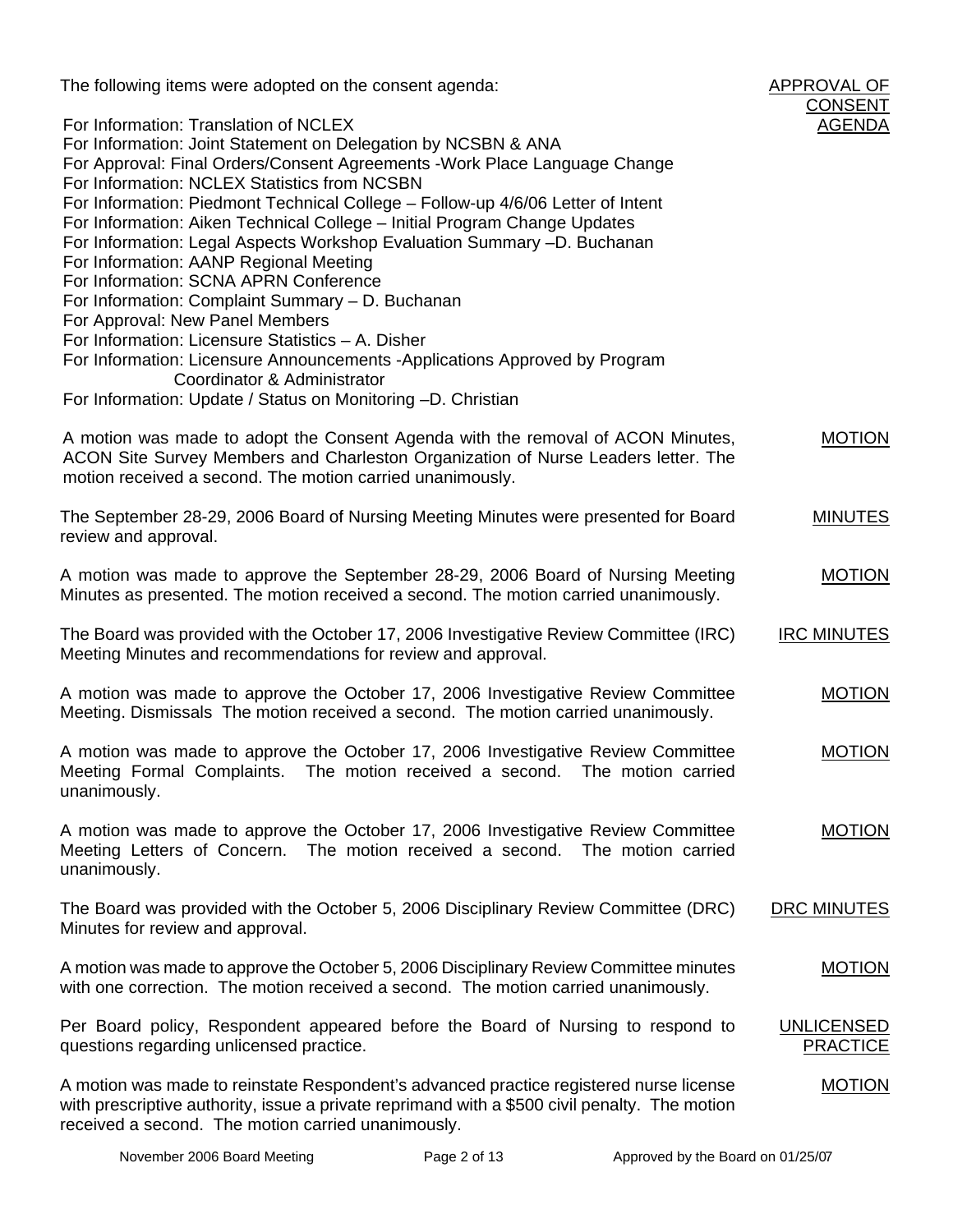The following items were adopted on the consent agenda:

|                                                                                                                                                                                                                                               | <b>CONSENT</b>                       |
|-----------------------------------------------------------------------------------------------------------------------------------------------------------------------------------------------------------------------------------------------|--------------------------------------|
| For Information: Translation of NCLEX<br>For Information: Joint Statement on Delegation by NCSBN & ANA<br>For Approval: Final Orders/Consent Agreements - Work Place Language Change                                                          | <b>AGENDA</b>                        |
| For Information: NCLEX Statistics from NCSBN<br>For Information: Piedmont Technical College - Follow-up 4/6/06 Letter of Intent<br>For Information: Aiken Technical College - Initial Program Change Updates                                  |                                      |
| For Information: Legal Aspects Workshop Evaluation Summary -D. Buchanan<br>For Information: AANP Regional Meeting<br>For Information: SCNA APRN Conference                                                                                    |                                      |
| For Information: Complaint Summary - D. Buchanan<br>For Approval: New Panel Members<br>For Information: Licensure Statistics - A. Disher<br>For Information: Licensure Announcements -Applications Approved by Program                        |                                      |
| Coordinator & Administrator<br>For Information: Update / Status on Monitoring -D. Christian                                                                                                                                                   |                                      |
| A motion was made to adopt the Consent Agenda with the removal of ACON Minutes,<br>ACON Site Survey Members and Charleston Organization of Nurse Leaders letter. The<br>motion received a second. The motion carried unanimously.             | <b>MOTION</b>                        |
| The September 28-29, 2006 Board of Nursing Meeting Minutes were presented for Board<br>review and approval.                                                                                                                                   | <b>MINUTES</b>                       |
| A motion was made to approve the September 28-29, 2006 Board of Nursing Meeting<br>Minutes as presented. The motion received a second. The motion carried unanimously.                                                                        | <b>MOTION</b>                        |
| The Board was provided with the October 17, 2006 Investigative Review Committee (IRC)<br>Meeting Minutes and recommendations for review and approval.                                                                                         | <b>IRC MINUTES</b>                   |
| A motion was made to approve the October 17, 2006 Investigative Review Committee<br>Meeting. Dismissals The motion received a second. The motion carried unanimously.                                                                         | <b>MOTION</b>                        |
| A motion was made to approve the October 17, 2006 Investigative Review Committee<br>Meeting Formal Complaints. The motion received a second. The motion carried<br>unanimously.                                                               | <b>MOTION</b>                        |
| A motion was made to approve the October 17, 2006 Investigative Review Committee<br>Meeting Letters of Concern. The motion received a second.<br>The motion carried<br>unanimously.                                                           | <b>MOTION</b>                        |
| The Board was provided with the October 5, 2006 Disciplinary Review Committee (DRC)<br>Minutes for review and approval.                                                                                                                       | DRC MINUTES                          |
| A motion was made to approve the October 5, 2006 Disciplinary Review Committee minutes<br>with one correction. The motion received a second. The motion carried unanimously.                                                                  | <b>MOTION</b>                        |
| Per Board policy, Respondent appeared before the Board of Nursing to respond to<br>questions regarding unlicensed practice.                                                                                                                   | <b>UNLICENSED</b><br><b>PRACTICE</b> |
| A motion was made to reinstate Respondent's advanced practice registered nurse license<br>with prescriptive authority, issue a private reprimand with a \$500 civil penalty. The motion<br>received a second. The motion carried unanimously. | <b>MOTION</b>                        |

APPROVAL OF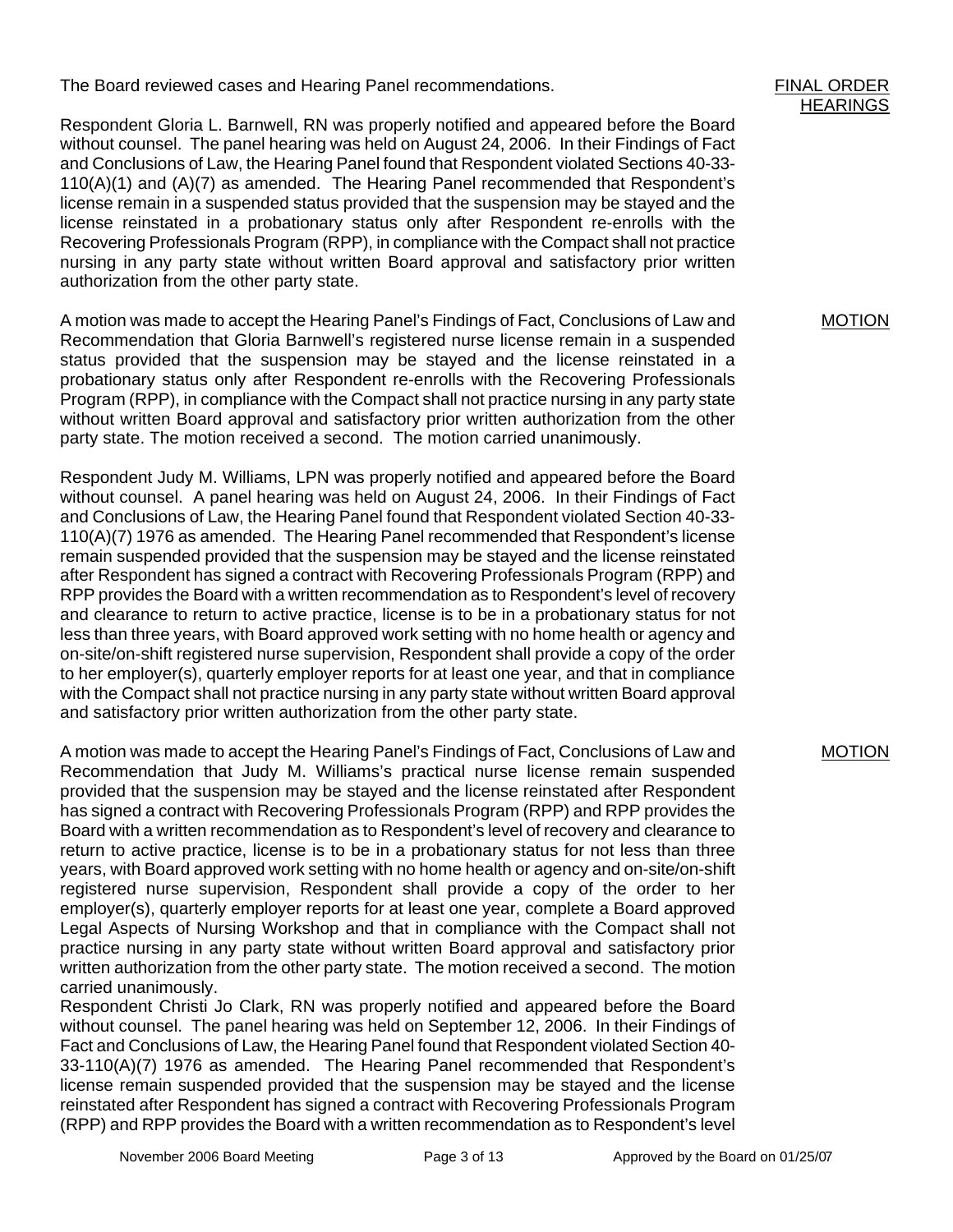The Board reviewed cases and Hearing Panel recommendations.

Respondent Gloria L. Barnwell, RN was properly notified and appeared before the Board without counsel. The panel hearing was held on August 24, 2006. In their Findings of Fact and Conclusions of Law, the Hearing Panel found that Respondent violated Sections 40-33- 110(A)(1) and (A)(7) as amended. The Hearing Panel recommended that Respondent's license remain in a suspended status provided that the suspension may be stayed and the license reinstated in a probationary status only after Respondent re-enrolls with the Recovering Professionals Program (RPP), in compliance with the Compact shall not practice nursing in any party state without written Board approval and satisfactory prior written authorization from the other party state.

A motion was made to accept the Hearing Panel's Findings of Fact, Conclusions of Law and Recommendation that Gloria Barnwell's registered nurse license remain in a suspended status provided that the suspension may be stayed and the license reinstated in a probationary status only after Respondent re-enrolls with the Recovering Professionals Program (RPP), in compliance with the Compact shall not practice nursing in any party state without written Board approval and satisfactory prior written authorization from the other party state. The motion received a second. The motion carried unanimously.

Respondent Judy M. Williams, LPN was properly notified and appeared before the Board without counsel. A panel hearing was held on August 24, 2006. In their Findings of Fact and Conclusions of Law, the Hearing Panel found that Respondent violated Section 40-33- 110(A)(7) 1976 as amended. The Hearing Panel recommended that Respondent's license remain suspended provided that the suspension may be stayed and the license reinstated after Respondent has signed a contract with Recovering Professionals Program (RPP) and RPP provides the Board with a written recommendation as to Respondent's level of recovery and clearance to return to active practice, license is to be in a probationary status for not less than three years, with Board approved work setting with no home health or agency and on-site/on-shift registered nurse supervision, Respondent shall provide a copy of the order to her employer(s), quarterly employer reports for at least one year, and that in compliance with the Compact shall not practice nursing in any party state without written Board approval and satisfactory prior written authorization from the other party state.

A motion was made to accept the Hearing Panel's Findings of Fact, Conclusions of Law and Recommendation that Judy M. Williams's practical nurse license remain suspended provided that the suspension may be stayed and the license reinstated after Respondent has signed a contract with Recovering Professionals Program (RPP) and RPP provides the Board with a written recommendation as to Respondent's level of recovery and clearance to return to active practice, license is to be in a probationary status for not less than three years, with Board approved work setting with no home health or agency and on-site/on-shift registered nurse supervision, Respondent shall provide a copy of the order to her employer(s), quarterly employer reports for at least one year, complete a Board approved Legal Aspects of Nursing Workshop and that in compliance with the Compact shall not practice nursing in any party state without written Board approval and satisfactory prior written authorization from the other party state. The motion received a second. The motion carried unanimously.

Respondent Christi Jo Clark, RN was properly notified and appeared before the Board without counsel. The panel hearing was held on September 12, 2006. In their Findings of Fact and Conclusions of Law, the Hearing Panel found that Respondent violated Section 40- 33-110(A)(7) 1976 as amended. The Hearing Panel recommended that Respondent's license remain suspended provided that the suspension may be stayed and the license reinstated after Respondent has signed a contract with Recovering Professionals Program (RPP) and RPP provides the Board with a written recommendation as to Respondent's level MOTION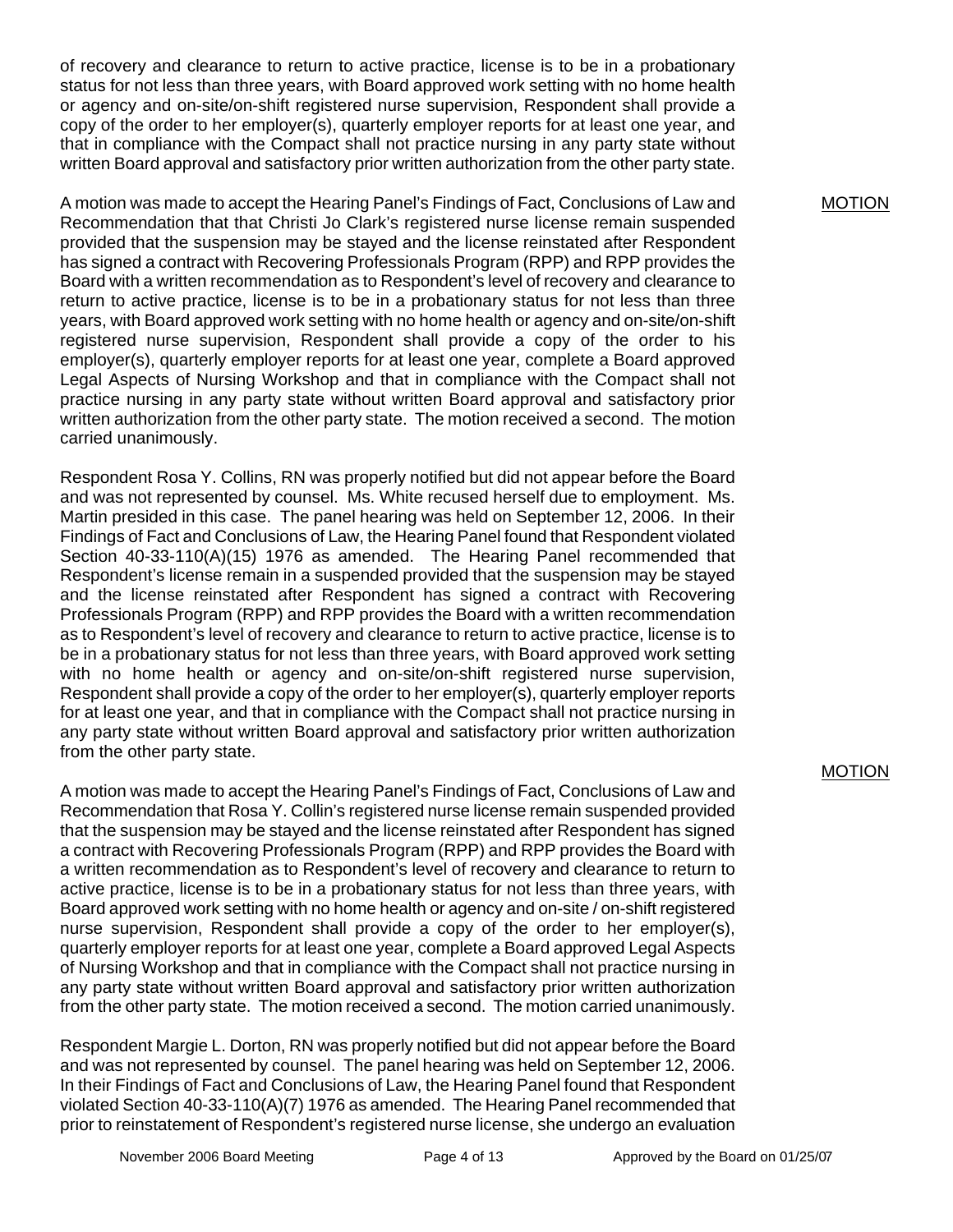of recovery and clearance to return to active practice, license is to be in a probationary status for not less than three years, with Board approved work setting with no home health or agency and on-site/on-shift registered nurse supervision, Respondent shall provide a copy of the order to her employer(s), quarterly employer reports for at least one year, and that in compliance with the Compact shall not practice nursing in any party state without written Board approval and satisfactory prior written authorization from the other party state.

A motion was made to accept the Hearing Panel's Findings of Fact, Conclusions of Law and Recommendation that that Christi Jo Clark's registered nurse license remain suspended provided that the suspension may be stayed and the license reinstated after Respondent has signed a contract with Recovering Professionals Program (RPP) and RPP provides the Board with a written recommendation as to Respondent's level of recovery and clearance to return to active practice, license is to be in a probationary status for not less than three years, with Board approved work setting with no home health or agency and on-site/on-shift registered nurse supervision, Respondent shall provide a copy of the order to his employer(s), quarterly employer reports for at least one year, complete a Board approved Legal Aspects of Nursing Workshop and that in compliance with the Compact shall not practice nursing in any party state without written Board approval and satisfactory prior written authorization from the other party state. The motion received a second. The motion carried unanimously.

Respondent Rosa Y. Collins, RN was properly notified but did not appear before the Board and was not represented by counsel. Ms. White recused herself due to employment. Ms. Martin presided in this case. The panel hearing was held on September 12, 2006. In their Findings of Fact and Conclusions of Law, the Hearing Panel found that Respondent violated Section 40-33-110(A)(15) 1976 as amended. The Hearing Panel recommended that Respondent's license remain in a suspended provided that the suspension may be stayed and the license reinstated after Respondent has signed a contract with Recovering Professionals Program (RPP) and RPP provides the Board with a written recommendation as to Respondent's level of recovery and clearance to return to active practice, license is to be in a probationary status for not less than three years, with Board approved work setting with no home health or agency and on-site/on-shift registered nurse supervision, Respondent shall provide a copy of the order to her employer(s), quarterly employer reports for at least one year, and that in compliance with the Compact shall not practice nursing in any party state without written Board approval and satisfactory prior written authorization from the other party state.

A motion was made to accept the Hearing Panel's Findings of Fact, Conclusions of Law and Recommendation that Rosa Y. Collin's registered nurse license remain suspended provided that the suspension may be stayed and the license reinstated after Respondent has signed a contract with Recovering Professionals Program (RPP) and RPP provides the Board with a written recommendation as to Respondent's level of recovery and clearance to return to active practice, license is to be in a probationary status for not less than three years, with Board approved work setting with no home health or agency and on-site / on-shift registered nurse supervision, Respondent shall provide a copy of the order to her employer(s), quarterly employer reports for at least one year, complete a Board approved Legal Aspects of Nursing Workshop and that in compliance with the Compact shall not practice nursing in any party state without written Board approval and satisfactory prior written authorization from the other party state. The motion received a second. The motion carried unanimously.

Respondent Margie L. Dorton, RN was properly notified but did not appear before the Board and was not represented by counsel. The panel hearing was held on September 12, 2006. In their Findings of Fact and Conclusions of Law, the Hearing Panel found that Respondent violated Section 40-33-110(A)(7) 1976 as amended. The Hearing Panel recommended that prior to reinstatement of Respondent's registered nurse license, she undergo an evaluation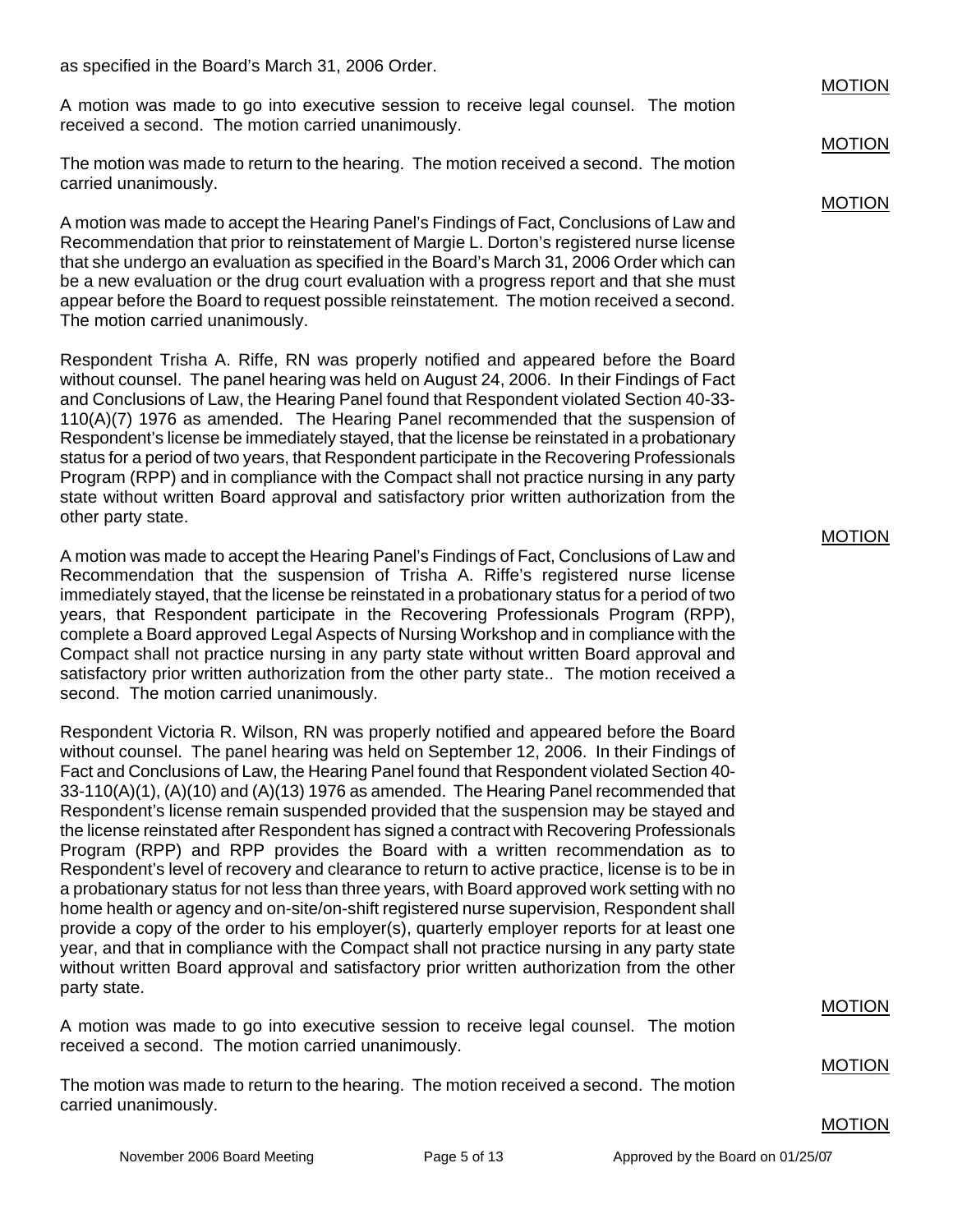as specified in the Board's March 31, 2006 Order.

A motion was made to go into executive session to receive legal counsel. The motion received a second. The motion carried unanimously.

The motion was made to return to the hearing. The motion received a second. The motion carried unanimously.

A motion was made to accept the Hearing Panel's Findings of Fact, Conclusions of Law and Recommendation that prior to reinstatement of Margie L. Dorton's registered nurse license that she undergo an evaluation as specified in the Board's March 31, 2006 Order which can be a new evaluation or the drug court evaluation with a progress report and that she must appear before the Board to request possible reinstatement. The motion received a second. The motion carried unanimously.

Respondent Trisha A. Riffe, RN was properly notified and appeared before the Board without counsel. The panel hearing was held on August 24, 2006. In their Findings of Fact and Conclusions of Law, the Hearing Panel found that Respondent violated Section 40-33- 110(A)(7) 1976 as amended. The Hearing Panel recommended that the suspension of Respondent's license be immediately stayed, that the license be reinstated in a probationary status for a period of two years, that Respondent participate in the Recovering Professionals Program (RPP) and in compliance with the Compact shall not practice nursing in any party state without written Board approval and satisfactory prior written authorization from the other party state.

A motion was made to accept the Hearing Panel's Findings of Fact, Conclusions of Law and Recommendation that the suspension of Trisha A. Riffe's registered nurse license immediately stayed, that the license be reinstated in a probationary status for a period of two years, that Respondent participate in the Recovering Professionals Program (RPP), complete a Board approved Legal Aspects of Nursing Workshop and in compliance with the Compact shall not practice nursing in any party state without written Board approval and satisfactory prior written authorization from the other party state.. The motion received a second. The motion carried unanimously.

Respondent Victoria R. Wilson, RN was properly notified and appeared before the Board without counsel. The panel hearing was held on September 12, 2006. In their Findings of Fact and Conclusions of Law, the Hearing Panel found that Respondent violated Section 40- 33-110(A)(1), (A)(10) and (A)(13) 1976 as amended. The Hearing Panel recommended that Respondent's license remain suspended provided that the suspension may be stayed and the license reinstated after Respondent has signed a contract with Recovering Professionals Program (RPP) and RPP provides the Board with a written recommendation as to Respondent's level of recovery and clearance to return to active practice, license is to be in a probationary status for not less than three years, with Board approved work setting with no home health or agency and on-site/on-shift registered nurse supervision, Respondent shall provide a copy of the order to his employer(s), quarterly employer reports for at least one year, and that in compliance with the Compact shall not practice nursing in any party state without written Board approval and satisfactory prior written authorization from the other party state.

A motion was made to go into executive session to receive legal counsel. The motion received a second. The motion carried unanimously.

The motion was made to return to the hearing. The motion received a second. The motion carried unanimously.

#### MOTION

MOTION

**MOTION** 

MOTION

MOTION

#### MOTION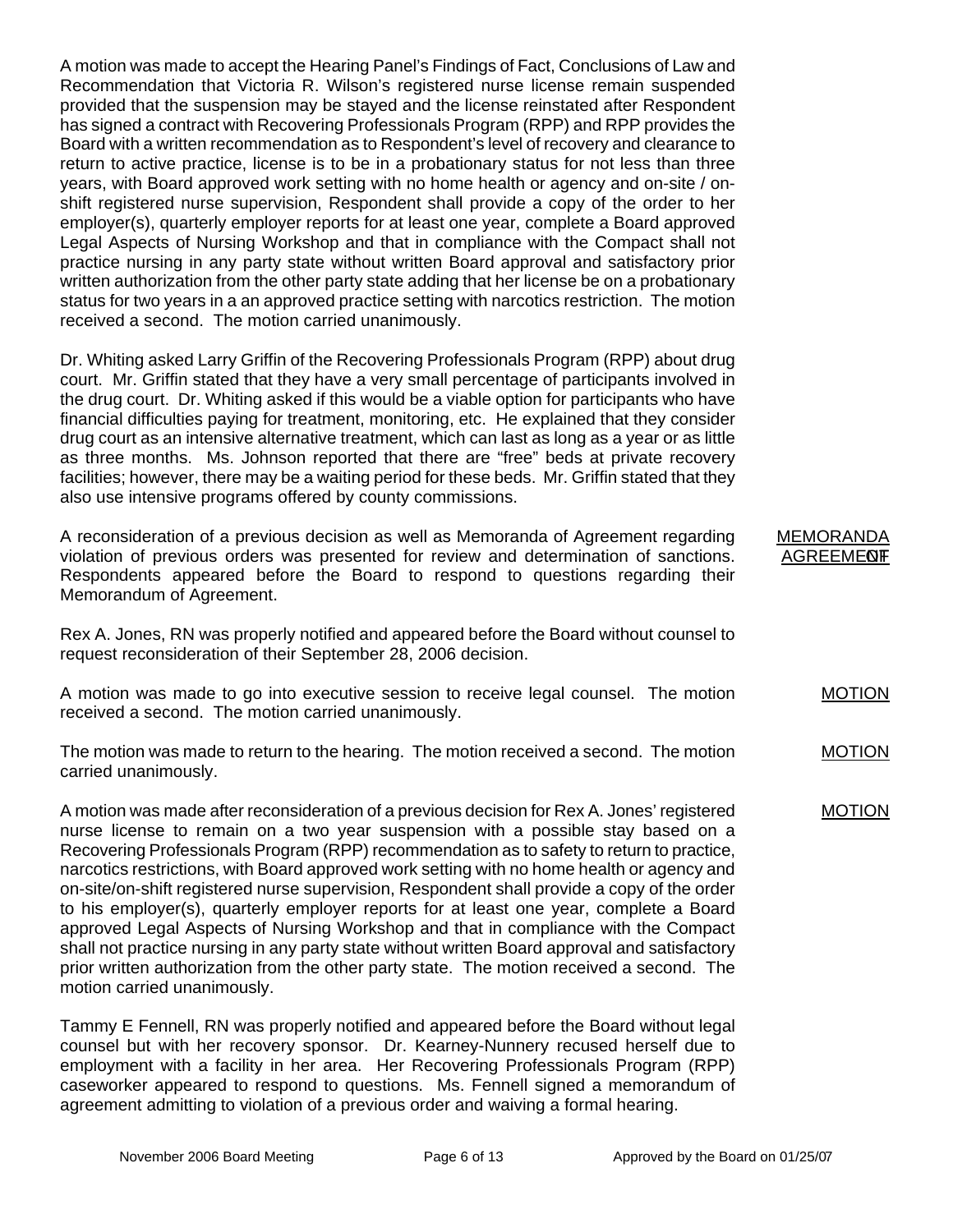A motion was made to accept the Hearing Panel's Findings of Fact, Conclusions of Law and Recommendation that Victoria R. Wilson's registered nurse license remain suspended provided that the suspension may be stayed and the license reinstated after Respondent has signed a contract with Recovering Professionals Program (RPP) and RPP provides the Board with a written recommendation as to Respondent's level of recovery and clearance to return to active practice, license is to be in a probationary status for not less than three years, with Board approved work setting with no home health or agency and on-site / onshift registered nurse supervision, Respondent shall provide a copy of the order to her employer(s), quarterly employer reports for at least one year, complete a Board approved Legal Aspects of Nursing Workshop and that in compliance with the Compact shall not practice nursing in any party state without written Board approval and satisfactory prior written authorization from the other party state adding that her license be on a probationary status for two years in a an approved practice setting with narcotics restriction. The motion received a second. The motion carried unanimously.

Dr. Whiting asked Larry Griffin of the Recovering Professionals Program (RPP) about drug court. Mr. Griffin stated that they have a very small percentage of participants involved in the drug court. Dr. Whiting asked if this would be a viable option for participants who have financial difficulties paying for treatment, monitoring, etc. He explained that they consider drug court as an intensive alternative treatment, which can last as long as a year or as little as three months. Ms. Johnson reported that there are "free" beds at private recovery facilities; however, there may be a waiting period for these beds. Mr. Griffin stated that they also use intensive programs offered by county commissions.

A reconsideration of a previous decision as well as Memoranda of Agreement regarding violation of previous orders was presented for review and determination of sanctions. Respondents appeared before the Board to respond to questions regarding their Memorandum of Agreement.

Rex A. Jones, RN was properly notified and appeared before the Board without counsel to request reconsideration of their September 28, 2006 decision.

A motion was made to go into executive session to receive legal counsel. The motion received a second. The motion carried unanimously.

The motion was made to return to the hearing. The motion received a second. The motion carried unanimously.

A motion was made after reconsideration of a previous decision for Rex A. Jones' registered nurse license to remain on a two year suspension with a possible stay based on a Recovering Professionals Program (RPP) recommendation as to safety to return to practice, narcotics restrictions, with Board approved work setting with no home health or agency and on-site/on-shift registered nurse supervision, Respondent shall provide a copy of the order to his employer(s), quarterly employer reports for at least one year, complete a Board approved Legal Aspects of Nursing Workshop and that in compliance with the Compact shall not practice nursing in any party state without written Board approval and satisfactory prior written authorization from the other party state. The motion received a second. The motion carried unanimously.

Tammy E Fennell, RN was properly notified and appeared before the Board without legal counsel but with her recovery sponsor. Dr. Kearney-Nunnery recused herself due to employment with a facility in her area. Her Recovering Professionals Program (RPP) caseworker appeared to respond to questions. Ms. Fennell signed a memorandum of agreement admitting to violation of a previous order and waiving a formal hearing.

MEMORANDA **AGREEMENT** 

MOTION

MOTION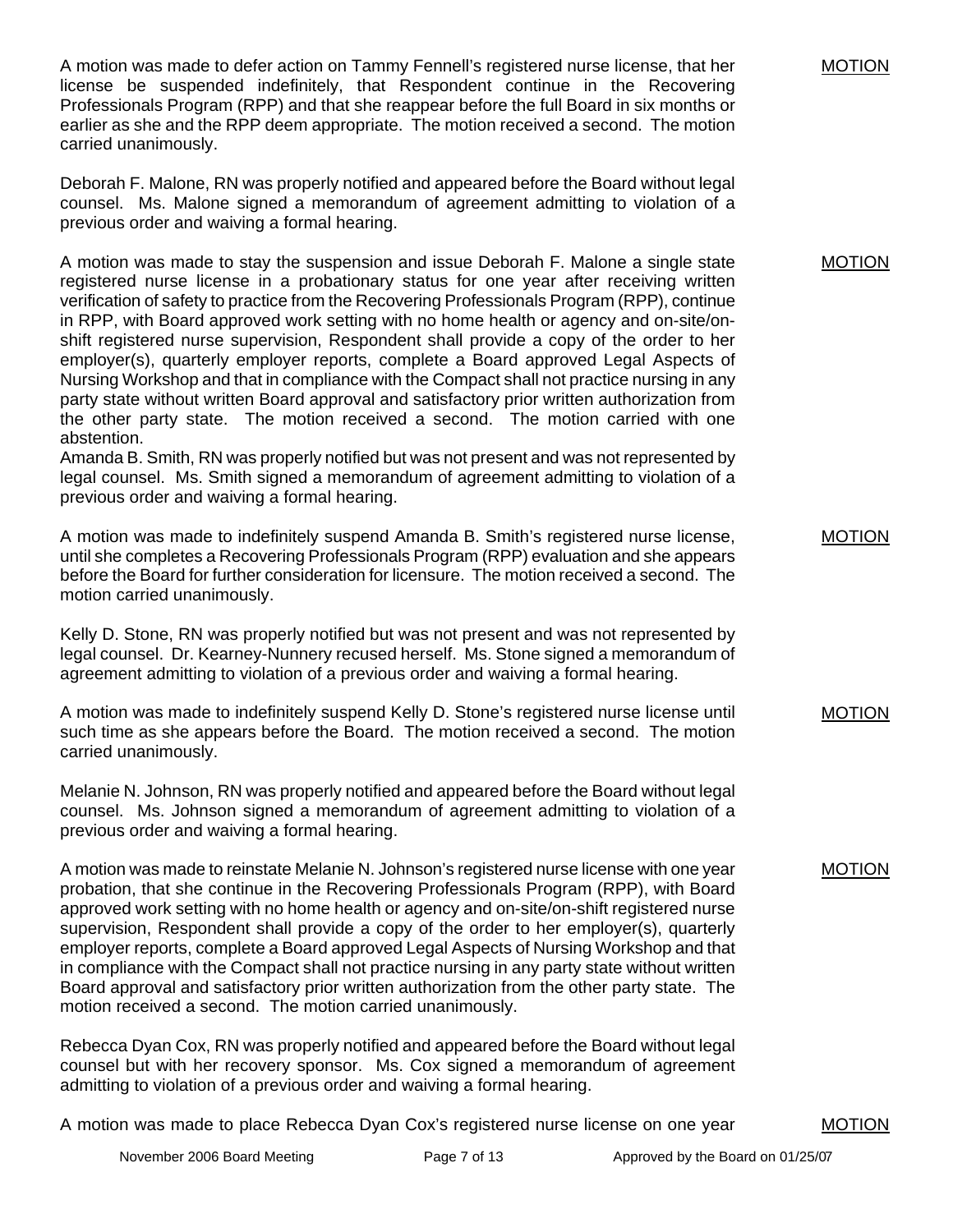A motion was made to defer action on Tammy Fennell's registered nurse license, that her license be suspended indefinitely, that Respondent continue in the Recovering Professionals Program (RPP) and that she reappear before the full Board in six months or earlier as she and the RPP deem appropriate. The motion received a second. The motion carried unanimously.

Deborah F. Malone, RN was properly notified and appeared before the Board without legal counsel. Ms. Malone signed a memorandum of agreement admitting to violation of a previous order and waiving a formal hearing.

A motion was made to stay the suspension and issue Deborah F. Malone a single state registered nurse license in a probationary status for one year after receiving written verification of safety to practice from the Recovering Professionals Program (RPP), continue in RPP, with Board approved work setting with no home health or agency and on-site/onshift registered nurse supervision, Respondent shall provide a copy of the order to her employer(s), quarterly employer reports, complete a Board approved Legal Aspects of Nursing Workshop and that in compliance with the Compact shall not practice nursing in any party state without written Board approval and satisfactory prior written authorization from the other party state. The motion received a second. The motion carried with one abstention.

Amanda B. Smith, RN was properly notified but was not present and was not represented by legal counsel. Ms. Smith signed a memorandum of agreement admitting to violation of a previous order and waiving a formal hearing.

A motion was made to indefinitely suspend Amanda B. Smith's registered nurse license, until she completes a Recovering Professionals Program (RPP) evaluation and she appears before the Board for further consideration for licensure. The motion received a second. The motion carried unanimously.

Kelly D. Stone, RN was properly notified but was not present and was not represented by legal counsel. Dr. Kearney-Nunnery recused herself. Ms. Stone signed a memorandum of agreement admitting to violation of a previous order and waiving a formal hearing.

A motion was made to indefinitely suspend Kelly D. Stone's registered nurse license until such time as she appears before the Board. The motion received a second. The motion carried unanimously.

Melanie N. Johnson, RN was properly notified and appeared before the Board without legal counsel. Ms. Johnson signed a memorandum of agreement admitting to violation of a previous order and waiving a formal hearing.

A motion was made to reinstate Melanie N. Johnson's registered nurse license with one year probation, that she continue in the Recovering Professionals Program (RPP), with Board approved work setting with no home health or agency and on-site/on-shift registered nurse supervision, Respondent shall provide a copy of the order to her employer(s), quarterly employer reports, complete a Board approved Legal Aspects of Nursing Workshop and that in compliance with the Compact shall not practice nursing in any party state without written Board approval and satisfactory prior written authorization from the other party state. The motion received a second. The motion carried unanimously.

Rebecca Dyan Cox, RN was properly notified and appeared before the Board without legal counsel but with her recovery sponsor. Ms. Cox signed a memorandum of agreement admitting to violation of a previous order and waiving a formal hearing.

A motion was made to place Rebecca Dyan Cox's registered nurse license on one year

MOTION

MOTION

MOTION

MOTION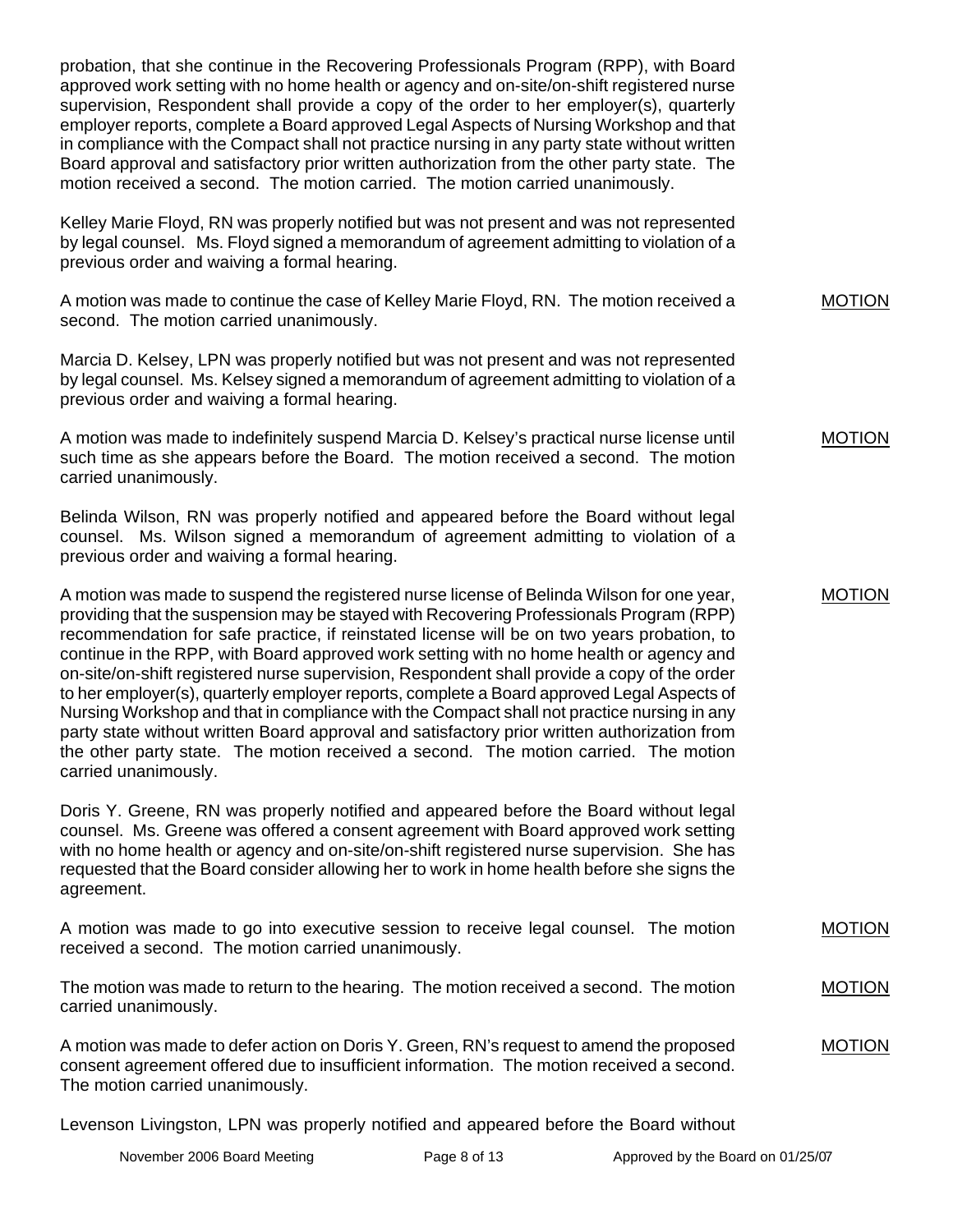probation, that she continue in the Recovering Professionals Program (RPP), with Board approved work setting with no home health or agency and on-site/on-shift registered nurse supervision, Respondent shall provide a copy of the order to her employer(s), quarterly employer reports, complete a Board approved Legal Aspects of Nursing Workshop and that in compliance with the Compact shall not practice nursing in any party state without written Board approval and satisfactory prior written authorization from the other party state. The motion received a second. The motion carried. The motion carried unanimously.

Kelley Marie Floyd, RN was properly notified but was not present and was not represented by legal counsel. Ms. Floyd signed a memorandum of agreement admitting to violation of a previous order and waiving a formal hearing.

A motion was made to continue the case of Kelley Marie Floyd, RN. The motion received a second. The motion carried unanimously.

Marcia D. Kelsey, LPN was properly notified but was not present and was not represented by legal counsel. Ms. Kelsey signed a memorandum of agreement admitting to violation of a previous order and waiving a formal hearing.

A motion was made to indefinitely suspend Marcia D. Kelsey's practical nurse license until such time as she appears before the Board. The motion received a second. The motion carried unanimously.

Belinda Wilson, RN was properly notified and appeared before the Board without legal counsel. Ms. Wilson signed a memorandum of agreement admitting to violation of a previous order and waiving a formal hearing.

A motion was made to suspend the registered nurse license of Belinda Wilson for one year, providing that the suspension may be stayed with Recovering Professionals Program (RPP) recommendation for safe practice, if reinstated license will be on two years probation, to continue in the RPP, with Board approved work setting with no home health or agency and on-site/on-shift registered nurse supervision, Respondent shall provide a copy of the order to her employer(s), quarterly employer reports, complete a Board approved Legal Aspects of Nursing Workshop and that in compliance with the Compact shall not practice nursing in any party state without written Board approval and satisfactory prior written authorization from the other party state. The motion received a second. The motion carried. The motion carried unanimously.

Doris Y. Greene, RN was properly notified and appeared before the Board without legal counsel. Ms. Greene was offered a consent agreement with Board approved work setting with no home health or agency and on-site/on-shift registered nurse supervision. She has requested that the Board consider allowing her to work in home health before she signs the agreement.

A motion was made to go into executive session to receive legal counsel. The motion received a second. The motion carried unanimously. MOTION

The motion was made to return to the hearing. The motion received a second. The motion carried unanimously. MOTION

A motion was made to defer action on Doris Y. Green, RN's request to amend the proposed consent agreement offered due to insufficient information. The motion received a second. The motion carried unanimously. MOTION

Levenson Livingston, LPN was properly notified and appeared before the Board without

MOTION

MOTION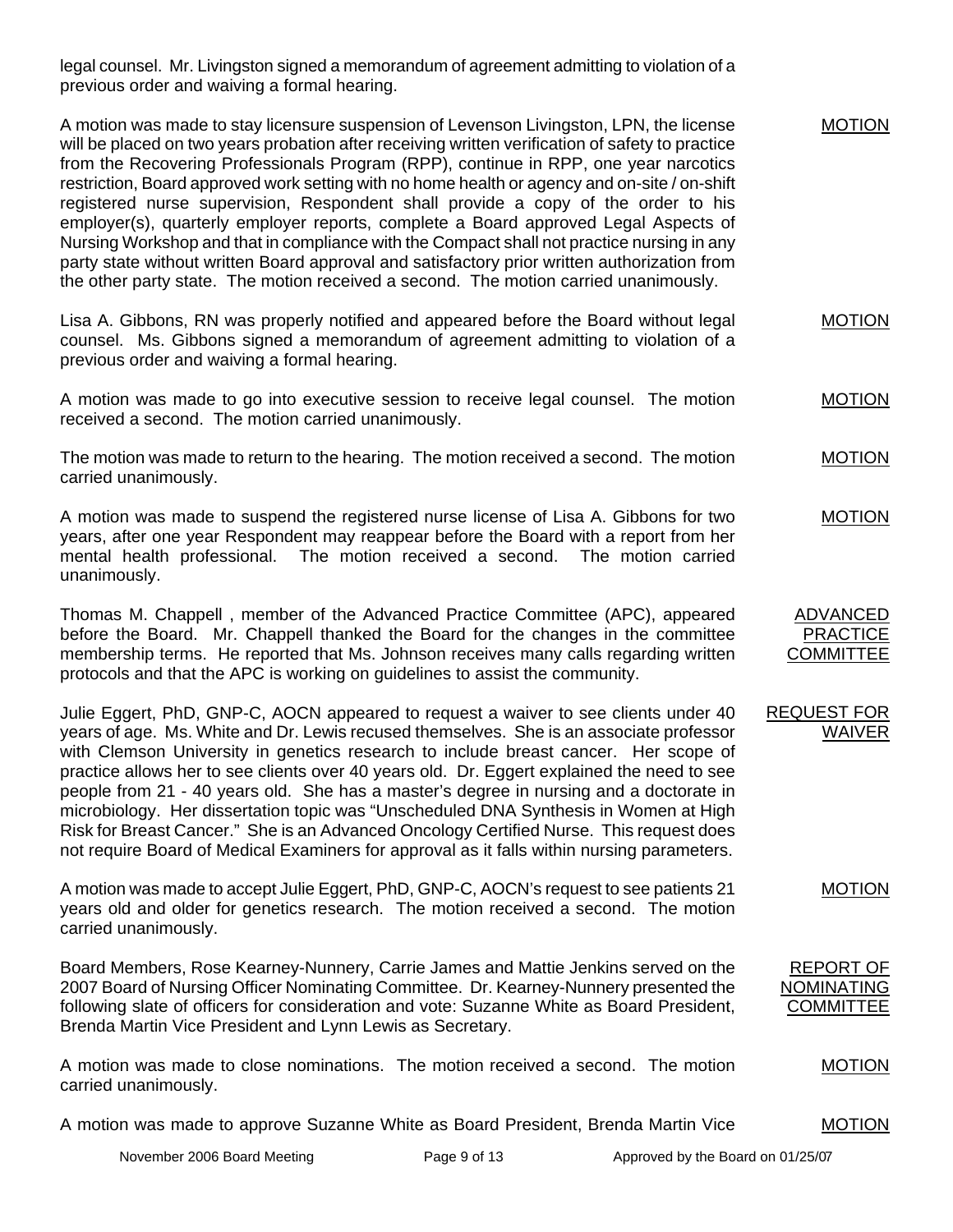legal counsel. Mr. Livingston signed a memorandum of agreement admitting to violation of a previous order and waiving a formal hearing.

| A motion was made to stay licensure suspension of Levenson Livingston, LPN, the license<br>will be placed on two years probation after receiving written verification of safety to practice<br>from the Recovering Professionals Program (RPP), continue in RPP, one year narcotics<br>restriction, Board approved work setting with no home health or agency and on-site / on-shift<br>registered nurse supervision, Respondent shall provide a copy of the order to his<br>employer(s), quarterly employer reports, complete a Board approved Legal Aspects of<br>Nursing Workshop and that in compliance with the Compact shall not practice nursing in any<br>party state without written Board approval and satisfactory prior written authorization from<br>the other party state. The motion received a second. The motion carried unanimously. | <b>MOTION</b>                                             |
|--------------------------------------------------------------------------------------------------------------------------------------------------------------------------------------------------------------------------------------------------------------------------------------------------------------------------------------------------------------------------------------------------------------------------------------------------------------------------------------------------------------------------------------------------------------------------------------------------------------------------------------------------------------------------------------------------------------------------------------------------------------------------------------------------------------------------------------------------------|-----------------------------------------------------------|
| Lisa A. Gibbons, RN was properly notified and appeared before the Board without legal<br>counsel. Ms. Gibbons signed a memorandum of agreement admitting to violation of a<br>previous order and waiving a formal hearing.                                                                                                                                                                                                                                                                                                                                                                                                                                                                                                                                                                                                                             | <b>MOTION</b>                                             |
| A motion was made to go into executive session to receive legal counsel. The motion<br>received a second. The motion carried unanimously.                                                                                                                                                                                                                                                                                                                                                                                                                                                                                                                                                                                                                                                                                                              | <b>MOTION</b>                                             |
| The motion was made to return to the hearing. The motion received a second. The motion<br>carried unanimously.                                                                                                                                                                                                                                                                                                                                                                                                                                                                                                                                                                                                                                                                                                                                         | <b>MOTION</b>                                             |
| A motion was made to suspend the registered nurse license of Lisa A. Gibbons for two<br>years, after one year Respondent may reappear before the Board with a report from her<br>The motion received a second.<br>mental health professional.<br>The motion carried<br>unanimously.                                                                                                                                                                                                                                                                                                                                                                                                                                                                                                                                                                    | <b>MOTION</b>                                             |
| Thomas M. Chappell, member of the Advanced Practice Committee (APC), appeared<br>before the Board. Mr. Chappell thanked the Board for the changes in the committee<br>membership terms. He reported that Ms. Johnson receives many calls regarding written<br>protocols and that the APC is working on guidelines to assist the community.                                                                                                                                                                                                                                                                                                                                                                                                                                                                                                             | <b>ADVANCED</b><br><b>PRACTICE</b><br><b>COMMITTEE</b>    |
| Julie Eggert, PhD, GNP-C, AOCN appeared to request a waiver to see clients under 40<br>years of age. Ms. White and Dr. Lewis recused themselves. She is an associate professor<br>with Clemson University in genetics research to include breast cancer. Her scope of<br>practice allows her to see clients over 40 years old. Dr. Eggert explained the need to see<br>people from 21 - 40 years old. She has a master's degree in nursing and a doctorate in<br>microbiology. Her dissertation topic was "Unscheduled DNA Synthesis in Women at High<br>Risk for Breast Cancer." She is an Advanced Oncology Certified Nurse. This request does<br>not require Board of Medical Examiners for approval as it falls within nursing parameters.                                                                                                         | <b>REQUEST FOR</b><br><b>WAIVER</b>                       |
| A motion was made to accept Julie Eggert, PhD, GNP-C, AOCN's request to see patients 21<br>years old and older for genetics research. The motion received a second. The motion<br>carried unanimously.                                                                                                                                                                                                                                                                                                                                                                                                                                                                                                                                                                                                                                                 | <b>MOTION</b>                                             |
| Board Members, Rose Kearney-Nunnery, Carrie James and Mattie Jenkins served on the<br>2007 Board of Nursing Officer Nominating Committee. Dr. Kearney-Nunnery presented the<br>following slate of officers for consideration and vote: Suzanne White as Board President,<br>Brenda Martin Vice President and Lynn Lewis as Secretary.                                                                                                                                                                                                                                                                                                                                                                                                                                                                                                                  | <b>REPORT OF</b><br><b>NOMINATING</b><br><b>COMMITTEE</b> |
| A motion was made to close nominations. The motion received a second. The motion<br>carried unanimously.                                                                                                                                                                                                                                                                                                                                                                                                                                                                                                                                                                                                                                                                                                                                               | <b>MOTION</b>                                             |
| A motion was made to approve Suzanne White as Board President, Brenda Martin Vice                                                                                                                                                                                                                                                                                                                                                                                                                                                                                                                                                                                                                                                                                                                                                                      | <b>MOTION</b>                                             |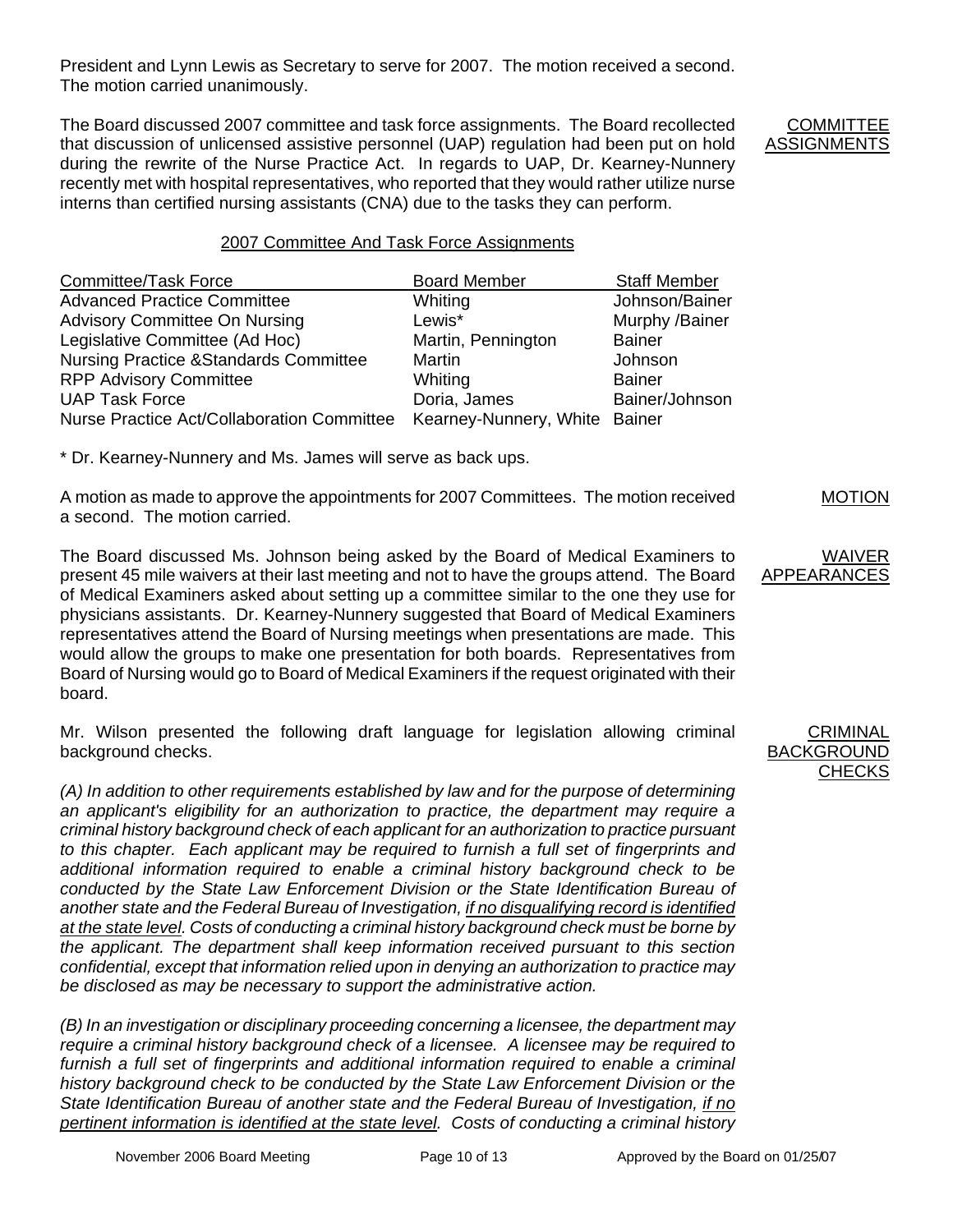President and Lynn Lewis as Secretary to serve for 2007. The motion received a second. The motion carried unanimously.

The Board discussed 2007 committee and task force assignments. The Board recollected that discussion of unlicensed assistive personnel (UAP) regulation had been put on hold during the rewrite of the Nurse Practice Act. In regards to UAP, Dr. Kearney-Nunnery recently met with hospital representatives, who reported that they would rather utilize nurse interns than certified nursing assistants (CNA) due to the tasks they can perform.

**COMMITTEE** ASSIGNMENTS

#### 2007 Committee And Task Force Assignments

| <b>Committee/Task Force</b>                      | <b>Board Member</b>           | <b>Staff Member</b> |
|--------------------------------------------------|-------------------------------|---------------------|
| <b>Advanced Practice Committee</b>               | Whiting                       | Johnson/Bainer      |
| <b>Advisory Committee On Nursing</b>             | Lewis*                        | Murphy /Bainer      |
| Legislative Committee (Ad Hoc)                   | Martin, Pennington            | <b>Bainer</b>       |
| <b>Nursing Practice &amp;Standards Committee</b> | <b>Martin</b>                 | Johnson             |
| <b>RPP Advisory Committee</b>                    | Whiting                       | <b>Bainer</b>       |
| <b>UAP Task Force</b>                            | Doria, James                  | Bainer/Johnson      |
| Nurse Practice Act/Collaboration Committee       | Kearney-Nunnery, White Bainer |                     |

\* Dr. Kearney-Nunnery and Ms. James will serve as back ups.

A motion as made to approve the appointments for 2007 Committees. The motion received a second. The motion carried.

The Board discussed Ms. Johnson being asked by the Board of Medical Examiners to present 45 mile waivers at their last meeting and not to have the groups attend. The Board of Medical Examiners asked about setting up a committee similar to the one they use for physicians assistants. Dr. Kearney-Nunnery suggested that Board of Medical Examiners representatives attend the Board of Nursing meetings when presentations are made. This would allow the groups to make one presentation for both boards. Representatives from Board of Nursing would go to Board of Medical Examiners if the request originated with their board.

Mr. Wilson presented the following draft language for legislation allowing criminal background checks.

*(A) In addition to other requirements established by law and for the purpose of determining an applicant's eligibility for an authorization to practice, the department may require a criminal history background check of each applicant for an authorization to practice pursuant to this chapter. Each applicant may be required to furnish a full set of fingerprints and additional information required to enable a criminal history background check to be*  conducted by the State Law Enforcement Division or the State Identification Bureau of *another state and the Federal Bureau of Investigation, if no disqualifying record is identified at the state level. Costs of conducting a criminal history background check must be borne by the applicant. The department shall keep information received pursuant to this section confidential, except that information relied upon in denying an authorization to practice may be disclosed as may be necessary to support the administrative action.* 

*(B) In an investigation or disciplinary proceeding concerning a licensee, the department may require a criminal history background check of a licensee. A licensee may be required to*  furnish a full set of fingerprints and additional information required to enable a criminal *history background check to be conducted by the State Law Enforcement Division or the State Identification Bureau of another state and the Federal Bureau of Investigation, if no pertinent information is identified at the state level. Costs of conducting a criminal history* 

#### **CRIMINAL** BACKGROUND **CHECKS**

MOTION

WAIVER

**APPEARANCES**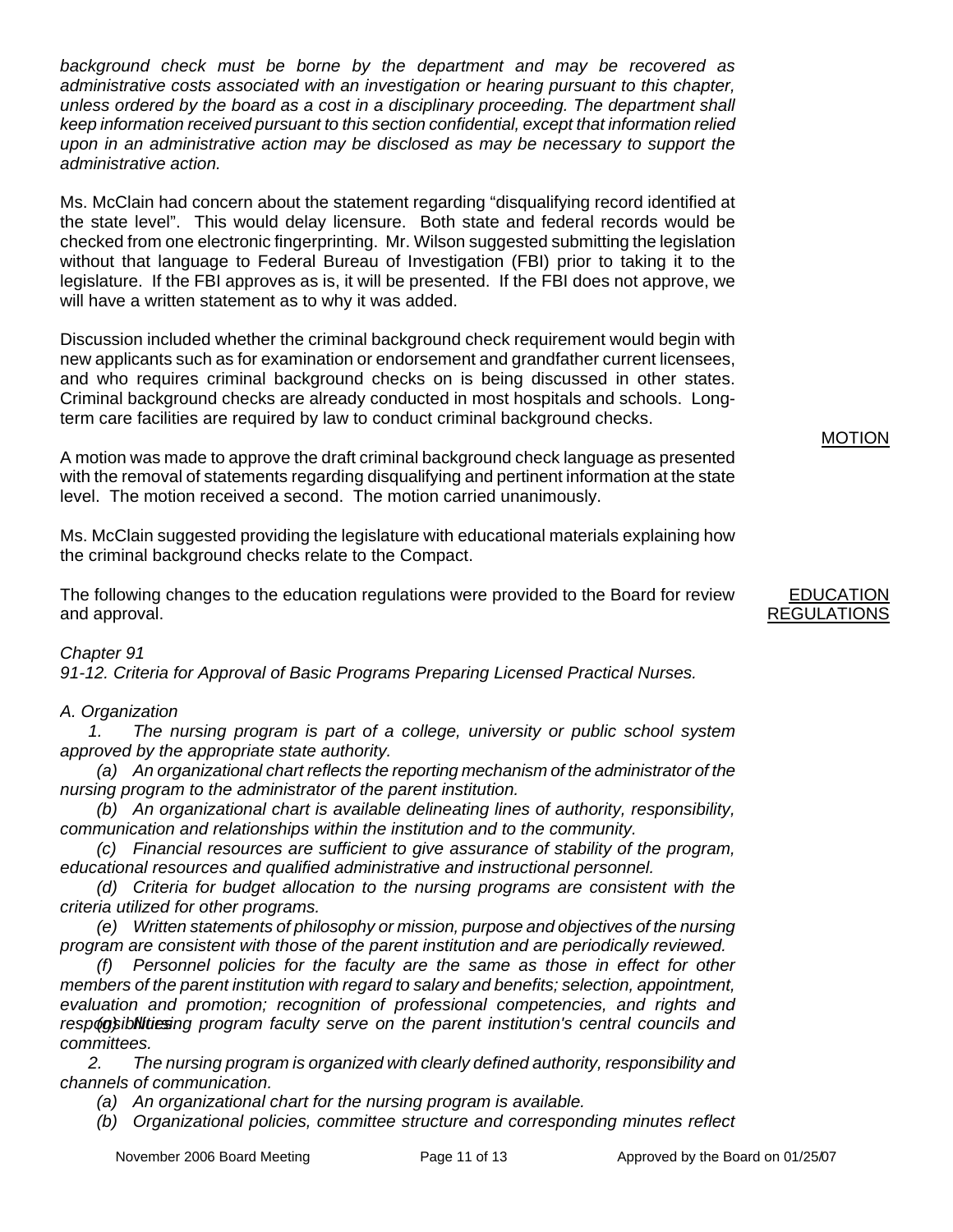*background check must be borne by the department and may be recovered as administrative costs associated with an investigation or hearing pursuant to this chapter, unless ordered by the board as a cost in a disciplinary proceeding. The department shall keep information received pursuant to this section confidential, except that information relied upon in an administrative action may be disclosed as may be necessary to support the administrative action.* 

Ms. McClain had concern about the statement regarding "disqualifying record identified at the state level". This would delay licensure. Both state and federal records would be checked from one electronic fingerprinting. Mr. Wilson suggested submitting the legislation without that language to Federal Bureau of Investigation (FBI) prior to taking it to the legislature. If the FBI approves as is, it will be presented. If the FBI does not approve, we will have a written statement as to why it was added.

Discussion included whether the criminal background check requirement would begin with new applicants such as for examination or endorsement and grandfather current licensees, and who requires criminal background checks on is being discussed in other states. Criminal background checks are already conducted in most hospitals and schools. Longterm care facilities are required by law to conduct criminal background checks.

A motion was made to approve the draft criminal background check language as presented with the removal of statements regarding disqualifying and pertinent information at the state level. The motion received a second. The motion carried unanimously.

Ms. McClain suggested providing the legislature with educational materials explaining how the criminal background checks relate to the Compact.

The following changes to the education regulations were provided to the Board for review and approval.

## *Chapter 91*

*91-12. Criteria for Approval of Basic Programs Preparing Licensed Practical Nurses.* 

## *A. Organization*

 *1. The nursing program is part of a college, university or public school system approved by the appropriate state authority.* 

 *(a) An organizational chart reflects the reporting mechanism of the administrator of the nursing program to the administrator of the parent institution.* 

 *(b) An organizational chart is available delineating lines of authority, responsibility, communication and relationships within the institution and to the community.* 

 *(c) Financial resources are sufficient to give assurance of stability of the program, educational resources and qualified administrative and instructional personnel.* 

 *(d) Criteria for budget allocation to the nursing programs are consistent with the criteria utilized for other programs.* 

 *(e) Written statements of philosophy or mission, purpose and objectives of the nursing program are consistent with those of the parent institution and are periodically reviewed.* 

 *(f) Personnel policies for the faculty are the same as those in effect for other members of the parent institution with regard to salary and benefits; selection, appointment, evaluation and promotion; recognition of professional competencies, and rights and*  responsibilities in a program faculty serve on the parent institution's central councils and *committees.* 

 *2. The nursing program is organized with clearly defined authority, responsibility and channels of communication.* 

 *(a) An organizational chart for the nursing program is available.* 

 *(b) Organizational policies, committee structure and corresponding minutes reflect* 

# EDUCATION

MOTION

## REGULATIONS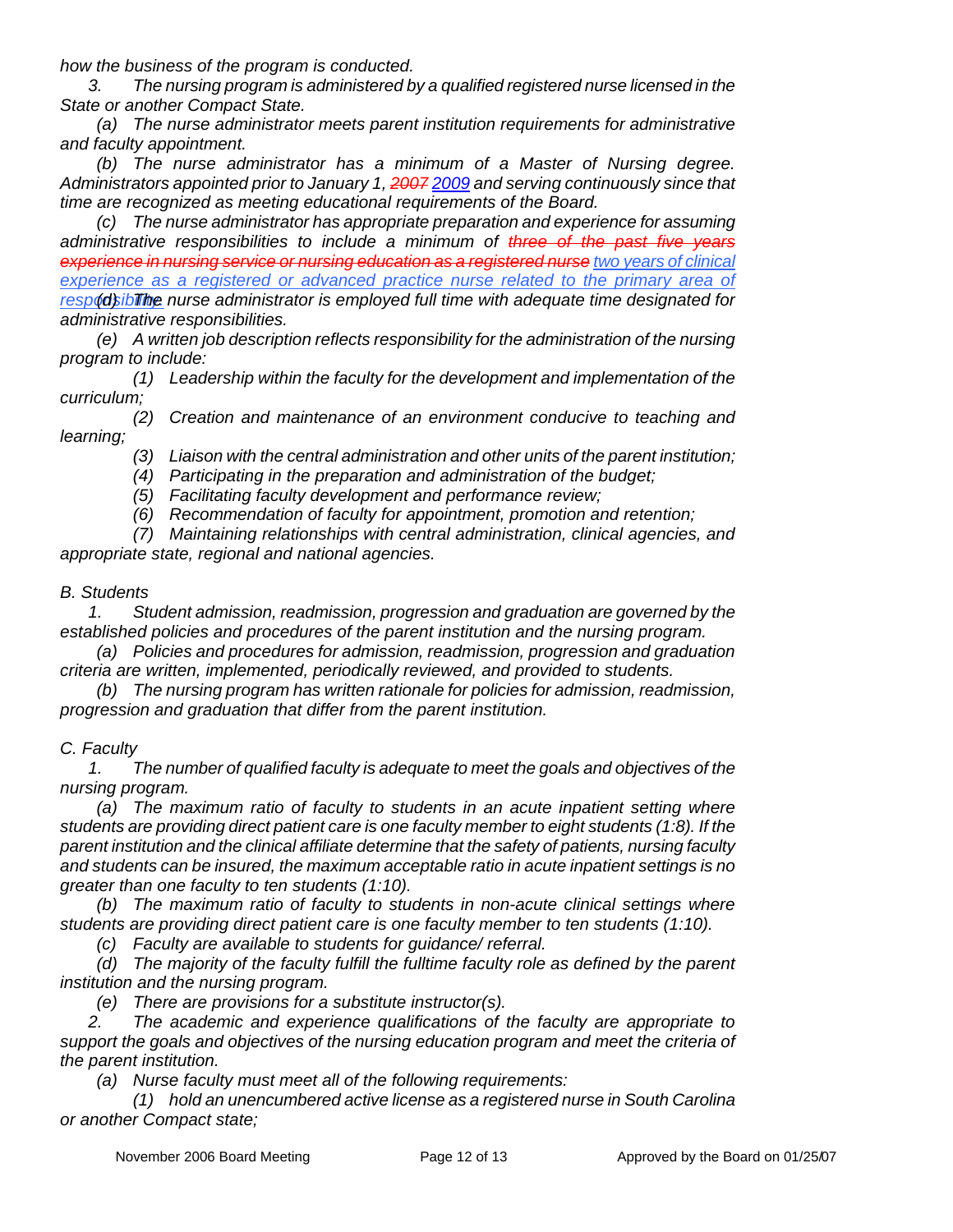*how the business of the program is conducted.* 

 *3. The nursing program is administered by a qualified registered nurse licensed in the State or another Compact State.* 

 *(a) The nurse administrator meets parent institution requirements for administrative and faculty appointment.* 

 *(b) The nurse administrator has a minimum of a Master of Nursing degree. Administrators appointed prior to January 1, 2007 2009 and serving continuously since that time are recognized as meeting educational requirements of the Board.* 

 *(c) The nurse administrator has appropriate preparation and experience for assuming administrative responsibilities to include a minimum of three of the past five years experience in nursing service or nursing education as a registered nurse two years of clinical*  experience as a registered or advanced practice nurse related to the primary area of respod bib The nurse administrator is employed full time with adequate time designated for *administrative responsibilities.* 

 *(e) A written job description reflects responsibility for the administration of the nursing program to include:* 

 *(1) Leadership within the faculty for the development and implementation of the curriculum;* 

 *(2) Creation and maintenance of an environment conducive to teaching and learning;* 

 *(3) Liaison with the central administration and other units of the parent institution;* 

 *(4) Participating in the preparation and administration of the budget;* 

 *(5) Facilitating faculty development and performance review;* 

 *(6) Recommendation of faculty for appointment, promotion and retention;* 

 *(7) Maintaining relationships with central administration, clinical agencies, and appropriate state, regional and national agencies.* 

#### *B. Students*

 *1. Student admission, readmission, progression and graduation are governed by the established policies and procedures of the parent institution and the nursing program.* 

 *(a) Policies and procedures for admission, readmission, progression and graduation criteria are written, implemented, periodically reviewed, and provided to students.* 

 *(b) The nursing program has written rationale for policies for admission, readmission, progression and graduation that differ from the parent institution.* 

### *C. Faculty*

 *1. The number of qualified faculty is adequate to meet the goals and objectives of the nursing program.* 

 *(a) The maximum ratio of faculty to students in an acute inpatient setting where students are providing direct patient care is one faculty member to eight students (1:8). If the parent institution and the clinical affiliate determine that the safety of patients, nursing faculty and students can be insured, the maximum acceptable ratio in acute inpatient settings is no greater than one faculty to ten students (1:10).* 

 *(b) The maximum ratio of faculty to students in non-acute clinical settings where students are providing direct patient care is one faculty member to ten students (1:10).* 

 *(c) Faculty are available to students for guidance/ referral.* 

*(d)* The majority of the faculty fulfill the fulltime faculty role as defined by the parent *institution and the nursing program.* 

 *(e) There are provisions for a substitute instructor(s).* 

 *2. The academic and experience qualifications of the faculty are appropriate to*  support the goals and objectives of the nursing education program and meet the criteria of *the parent institution.* 

 *(a) Nurse faculty must meet all of the following requirements:* 

 *(1) hold an unencumbered active license as a registered nurse in South Carolina or another Compact state;*